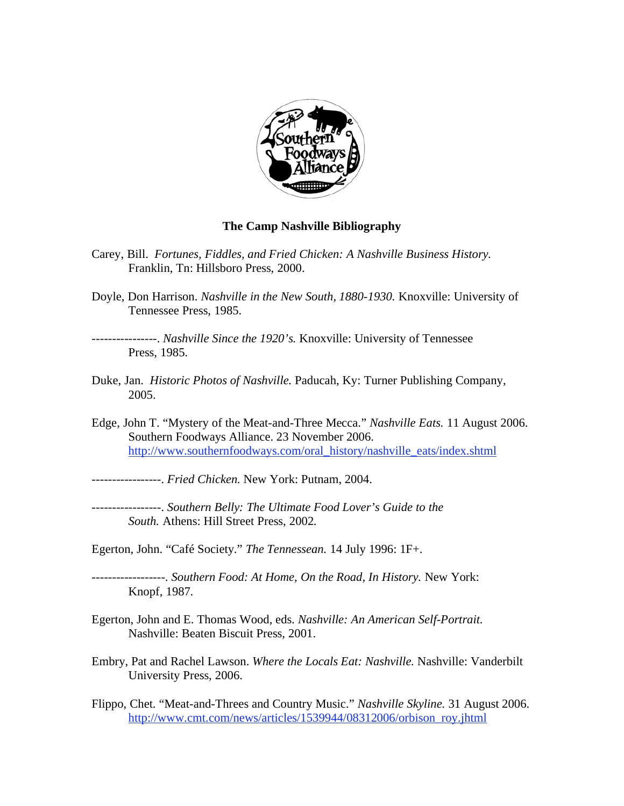

## **The Camp Nashville Bibliography**

- Carey, Bill. *Fortunes, Fiddles, and Fried Chicken: A Nashville Business History.*  Franklin, Tn: Hillsboro Press, 2000.
- Doyle, Don Harrison. *Nashville in the New South, 1880-1930.* Knoxville: University of Tennessee Press, 1985.
- ----------------. *Nashville Since the 1920's.* Knoxville: University of Tennessee Press, 1985.
- Duke, Jan. *Historic Photos of Nashville.* Paducah, Ky: Turner Publishing Company, 2005.
- Edge, John T. "Mystery of the Meat-and-Three Mecca." *Nashville Eats.* 11 August 2006. Southern Foodways Alliance. 23 November 2006. http://www.southernfoodways.com/oral\_history/nashville\_eats/index.shtml
- -----------------. *Fried Chicken.* New York: Putnam, 2004.

-----------------. *Southern Belly: The Ultimate Food Lover's Guide to the South.* Athens: Hill Street Press, 2002.

Egerton, John. "Café Society." *The Tennessean.* 14 July 1996: 1F+.

------------------. *Southern Food: At Home, On the Road, In History.* New York: Knopf, 1987.

- Egerton, John and E. Thomas Wood, eds. *Nashville: An American Self-Portrait.*  Nashville: Beaten Biscuit Press, 2001.
- Embry, Pat and Rachel Lawson. *Where the Locals Eat: Nashville.* Nashville: Vanderbilt University Press, 2006.
- Flippo, Chet. "Meat-and-Threes and Country Music." *Nashville Skyline.* 31 August 2006. http://www.cmt.com/news/articles/1539944/08312006/orbison\_roy.jhtml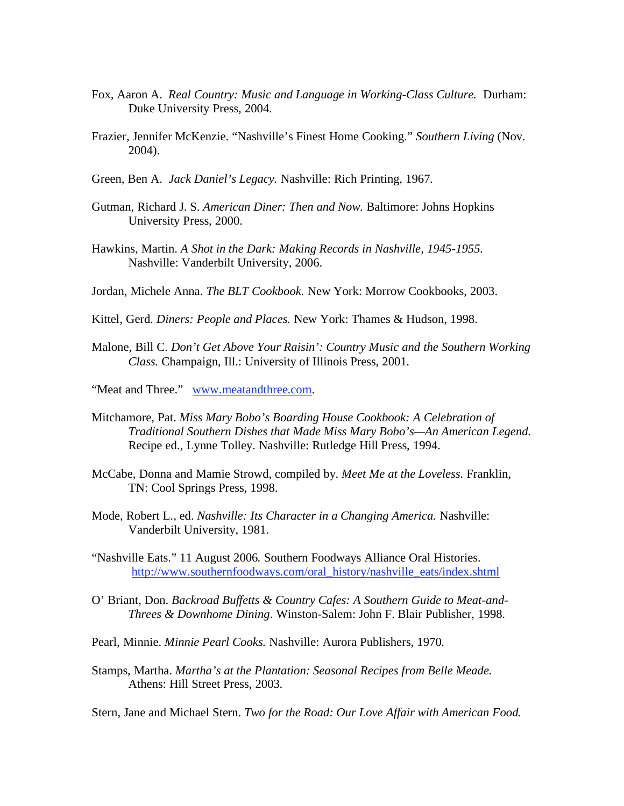- Fox, Aaron A. *Real Country: Music and Language in Working-Class Culture.* Durham: Duke University Press, 2004.
- Frazier, Jennifer McKenzie. "Nashville's Finest Home Cooking." *Southern Living* (Nov. 2004).
- Green, Ben A. *Jack Daniel's Legacy.* Nashville: Rich Printing, 1967.
- Gutman, Richard J. S. *American Diner: Then and Now.* Baltimore: Johns Hopkins University Press, 2000.
- Hawkins, Martin. *A Shot in the Dark: Making Records in Nashville, 1945-1955.*  Nashville: Vanderbilt University, 2006.
- Jordan, Michele Anna. *The BLT Cookbook.* New York: Morrow Cookbooks, 2003.
- Kittel, Gerd. *Diners: People and Places.* New York: Thames & Hudson, 1998.
- Malone, Bill C. *Don't Get Above Your Raisin': Country Music and the Southern Working Class.* Champaign, Ill.: University of Illinois Press, 2001.
- "Meat and Three." www.meatandthree.com.
- Mitchamore, Pat. *Miss Mary Bobo's Boarding House Cookbook: A Celebration of Traditional Southern Dishes that Made Miss Mary Bobo's—An American Legend.*  Recipe ed., Lynne Tolley. Nashville: Rutledge Hill Press, 1994.
- McCabe, Donna and Mamie Strowd, compiled by. *Meet Me at the Loveless*. Franklin, TN: Cool Springs Press, 1998.
- Mode, Robert L., ed. *Nashville: Its Character in a Changing America.* Nashville: Vanderbilt University, 1981.
- "Nashville Eats." 11 August 2006*.* Southern Foodways Alliance Oral Histories. http://www.southernfoodways.com/oral\_history/nashville\_eats/index.shtml
- O' Briant, Don. *Backroad Buffetts & Country Cafes: A Southern Guide to Meat-and-Threes & Downhome Dining*. Winston-Salem: John F. Blair Publisher, 1998.
- Pearl, Minnie. *Minnie Pearl Cooks.* Nashville: Aurora Publishers, 1970.
- Stamps, Martha. *Martha's at the Plantation: Seasonal Recipes from Belle Meade.*  Athens: Hill Street Press, 2003.

Stern, Jane and Michael Stern. *Two for the Road: Our Love Affair with American Food.*